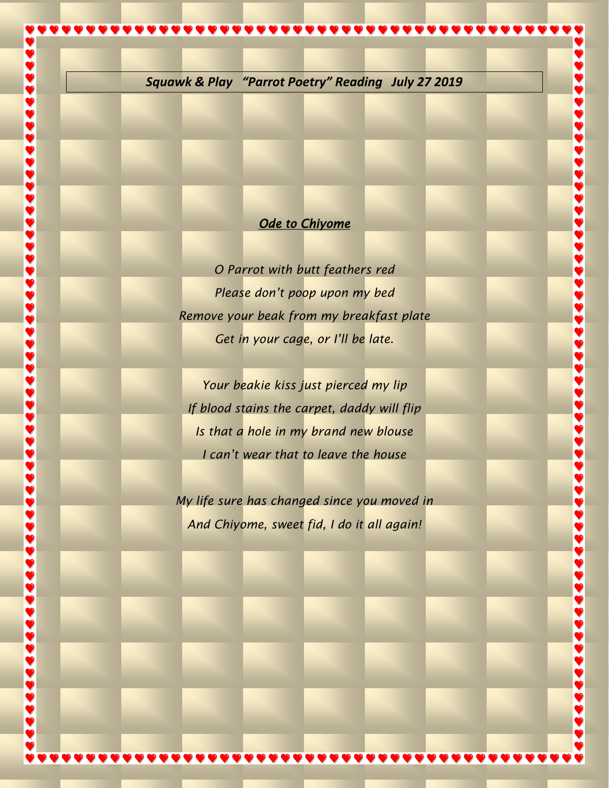

## **Ode to Chiyome**

*O Parrot with butt feathers red Please don't poop upon my bed Remove your beak from my breakfast plate Get in your cage, or I'll be late.*

*Your beakie kiss just pierced my lip If blood stains the carpet, daddy will flip Is that a hole in my brand new blouse I can't wear that to leave the house*

*My life sure has changed since you moved in And Chiyome, sweet fid, I do it all again!*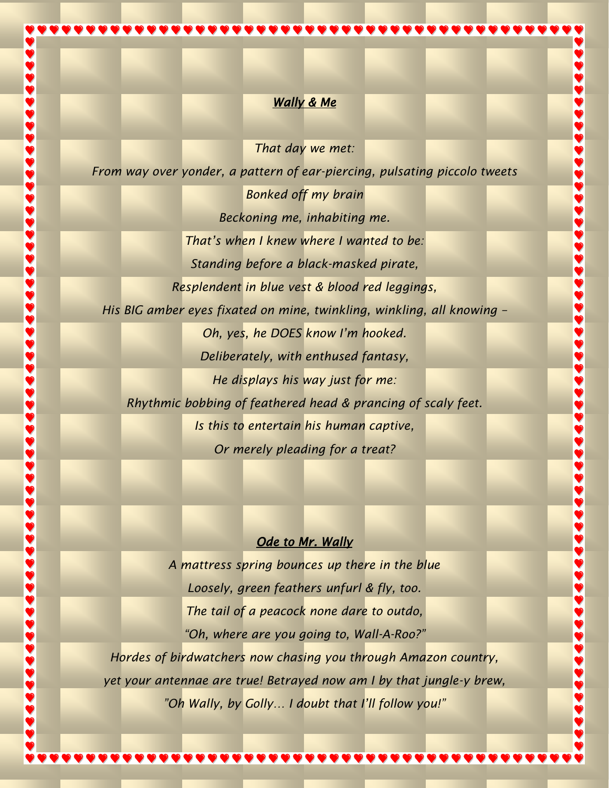### *Wally & Me*

*That day we met:* 

*From way over yonder, a pattern of ear-piercing, pulsating piccolo tweets*

*Bonked off my brain Beckoning me, inhabiting me. That's when I knew where I wanted to be: Standing before a black-masked pirate,*

 $\check{\bullet}$ 

İ,

1488

 $\bullet$ 

*Resplendent in blue vest & blood red leggings,*

*His BIG amber eyes fixated on mine, twinkling, winkling, all knowing –*

*Oh, yes, he DOES know I'm hooked. Deliberately, with enthused fantasy,*

*He displays his way just for me: Rhythmic bobbing of feathered head & prancing of scaly feet. Is this to entertain his human captive, Or merely pleading for a treat?* 

# *Ode to Mr. Wally*

*A mattress spring bounces up there in the blue Loosely, green feathers unfurl & fly, too. The tail of a peacock none dare to outdo, "Oh, where are you going to, Wall-A-Roo?"*

*Hordes of birdwatchers now chasing you through Amazon country, yet your antennae are true! Betrayed now am I by that jungle-y brew, "Oh Wally, by Golly… I doubt that I'll follow you!"*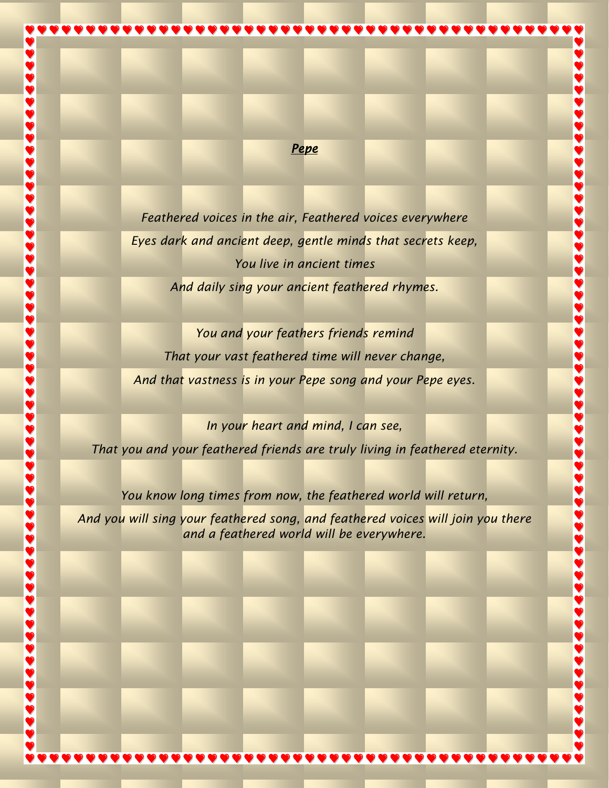#### *Pepe*

*Feathered voices in the air, Feathered voices everywhere Eyes dark and ancient deep, gentle minds that secrets keep, You live in ancient times And daily sing your ancient feathered rhymes.*

**99999999999999999999999** 

**898888888888** 

5888

*You and your feathers friends remind That your vast feathered time will never change, And that vastness is in your Pepe song and your Pepe eyes.*

*In your heart and mind, I can see, That you and your feathered friends are truly living in feathered eternity.* 

*You know long times from now, the feathered world will return,*

\$

*And you will sing your feathered song, and feathered voices will join you there and a feathered world will be everywhere.*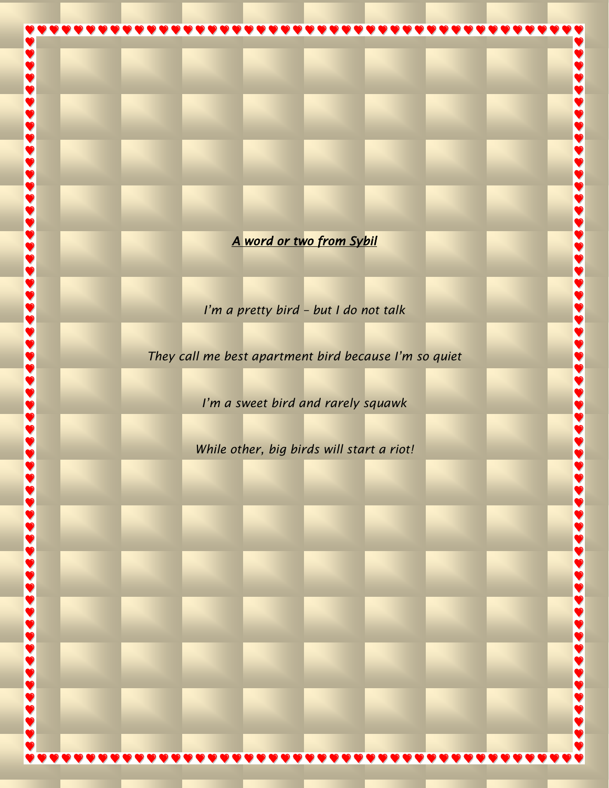*A word or two from Sybil* 

 $\frac{1}{2}$ 

D

 $\blacklozenge$ 

D

 $\ddot{\bullet}$ 

*I'm a pretty bird – but I do not talk* 

*They call me best apartment bird because I'm so quiet*

*I'm a sweet bird and rarely squawk*

*While other, big birds will start a riot!*